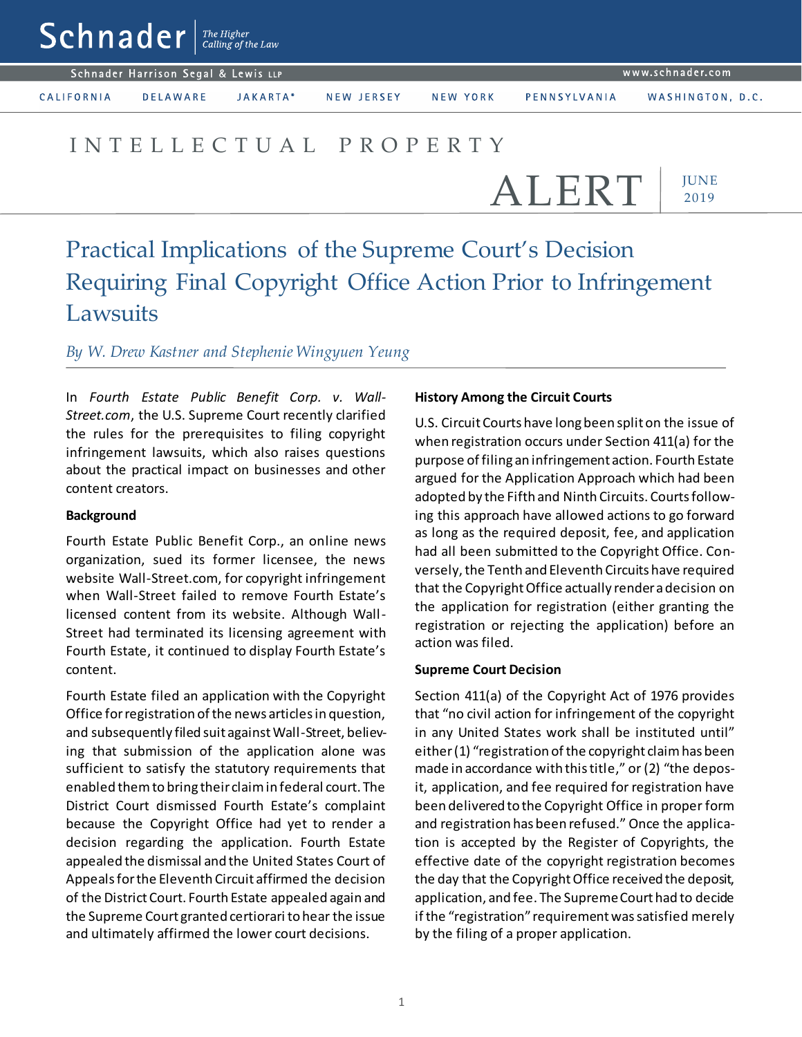| $\mathbf{S}\mathbf{C}\mathbf{n}$ $\mathbf{n}$ a der $\mathbf{C}$ alling of the Law |  |
|------------------------------------------------------------------------------------|--|
| Schnader Harrison Segal & Lewis LLP                                                |  |

www.schnader.com

CALIFORNIA

**DELAWARE** JAKARTA\*

NEW JERSEY

NEW YORK

## I N T E L L E C T U A L P R O P E R T Y

**JUNE** 2019 ALERT

# Practical Implications of the Supreme Court's Decision Requiring Final Copyright Office Action Prior to Infringement Lawsuits

### *By W. Drew Kastner and Stephenie Wingyuen Yeung*

In *Fourth Estate Public Benefit Corp. v. Wall-Street.com*, the U.S. Supreme Court recently clarified the rules for the prerequisites to filing copyright infringement lawsuits, which also raises questions about the practical impact on businesses and other content creators.

#### **Background**

Fourth Estate Public Benefit Corp., an online news organization, sued its former licensee, the news website Wall-Street.com, for copyright infringement when Wall-Street failed to remove Fourth Estate's licensed content from its website. Although Wall-Street had terminated its licensing agreement with Fourth Estate, it continued to display Fourth Estate's content.

Fourth Estate filed an application with the Copyright Office for registration of the news articles in question, and subsequently filed suit against Wall-Street, believing that submission of the application alone was sufficient to satisfy the statutory requirements that enabled them to bring their claim in federal court. The District Court dismissed Fourth Estate's complaint because the Copyright Office had yet to render a decision regarding the application. Fourth Estate appealed the dismissal and the United States Court of Appeals for the Eleventh Circuit affirmed the decision of the District Court. Fourth Estate appealed again and the Supreme Court granted certiorari to hear the issue and ultimately affirmed the lower court decisions.

#### **History Among the Circuit Courts**

U.S. Circuit Courts have long been split on the issue of when registration occurs under Section 411(a) for the purpose of filing an infringement action. Fourth Estate argued for the Application Approach which had been adopted by the Fifth and Ninth Circuits. Courts following this approach have allowed actions to go forward as long as the required deposit, fee, and application had all been submitted to the Copyright Office. Conversely, the Tenth and Eleventh Circuits have required that the Copyright Office actually render a decision on the application for registration (either granting the registration or rejecting the application) before an action was filed.

#### **Supreme Court Decision**

Section 411(a) of the Copyright Act of 1976 provides that "no civil action for infringement of the copyright in any United States work shall be instituted until" either (1) "registration of the copyright claim has been made in accordance with this title," or (2) "the deposit, application, and fee required for registration have been delivered to the Copyright Office in proper form and registration has been refused." Once the application is accepted by the Register of Copyrights, the effective date of the copyright registration becomes the day that the Copyright Office received the deposit, application, and fee. The Supreme Court had to decide if the "registration" requirement was satisfied merely by the filing of a proper application.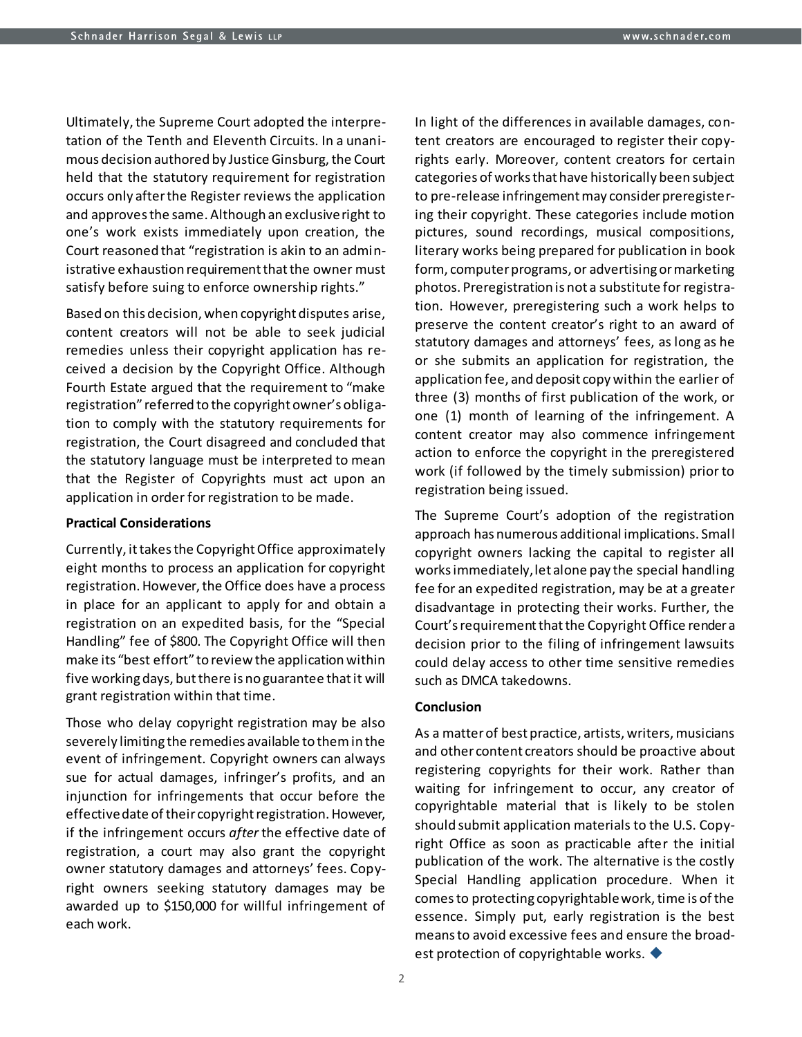Ultimately, the Supreme Court adopted the interpretation of the Tenth and Eleventh Circuits. In a unanimous decision authored by Justice Ginsburg, the Court held that the statutory requirement for registration occurs only after the Register reviews the application and approves the same. Although an exclusive right to one's work exists immediately upon creation, the Court reasoned that "registration is akin to an administrative exhaustion requirement that the owner must satisfy before suing to enforce ownership rights."

Based on this decision, when copyright disputes arise, content creators will not be able to seek judicial remedies unless their copyright application has received a decision by the Copyright Office. Although Fourth Estate argued that the requirement to "make registration" referred to the copyright owner's obligation to comply with the statutory requirements for registration, the Court disagreed and concluded that the statutory language must be interpreted to mean that the Register of Copyrights must act upon an application in order for registration to be made.

#### **Practical Considerations**

Currently, it takes the Copyright Office approximately eight months to process an application for copyright registration. However, the Office does have a process in place for an applicant to apply for and obtain a registration on an expedited basis, for the "Special Handling" fee of \$800. The Copyright Office will then make its "best effort" to review the application within five working days, but there is no guarantee that it will grant registration within that time.

Those who delay copyright registration may be also severely limiting the remedies available to them in the event of infringement. Copyright owners can always sue for actual damages, infringer's profits, and an injunction for infringements that occur before the effective date of their copyright registration. However, if the infringement occurs *after* the effective date of registration, a court may also grant the copyright owner statutory damages and attorneys' fees. Copyright owners seeking statutory damages may be awarded up to \$150,000 for willful infringement of each work.

In light of the differences in available damages, content creators are encouraged to register their copyrights early. Moreover, content creators for certain categories of works that have historically been subject to pre-release infringement may consider preregistering their copyright. These categories include motion pictures, sound recordings, musical compositions, literary works being prepared for publication in book form, computer programs, or advertising or marketing photos. Preregistration is not a substitute for registration. However, preregistering such a work helps to preserve the content creator's right to an award of statutory damages and attorneys' fees, as long as he or she submits an application for registration, the application fee, and deposit copy within the earlier of three (3) months of first publication of the work, or one (1) month of learning of the infringement. A content creator may also commence infringement action to enforce the copyright in the preregistered work (if followed by the timely submission) prior to registration being issued.

The Supreme Court's adoption of the registration approach has numerous additional implications. Small copyright owners lacking the capital to register all works immediately, let alone pay the special handling fee for an expedited registration, may be at a greater disadvantage in protecting their works. Further, the Court's requirement that the Copyright Office render a decision prior to the filing of infringement lawsuits could delay access to other time sensitive remedies such as DMCA takedowns.

#### **Conclusion**

As a matter of best practice, artists, writers, musicians and other content creators should be proactive about registering copyrights for their work. Rather than waiting for infringement to occur, any creator of copyrightable material that is likely to be stolen should submit application materials to the U.S. Copyright Office as soon as practicable after the initial publication of the work. The alternative is the costly Special Handling application procedure. When it comes to protecting copyrightable work, time is of the essence. Simply put, early registration is the best means to avoid excessive fees and ensure the broadest protection of copyrightable works.  $\blacklozenge$